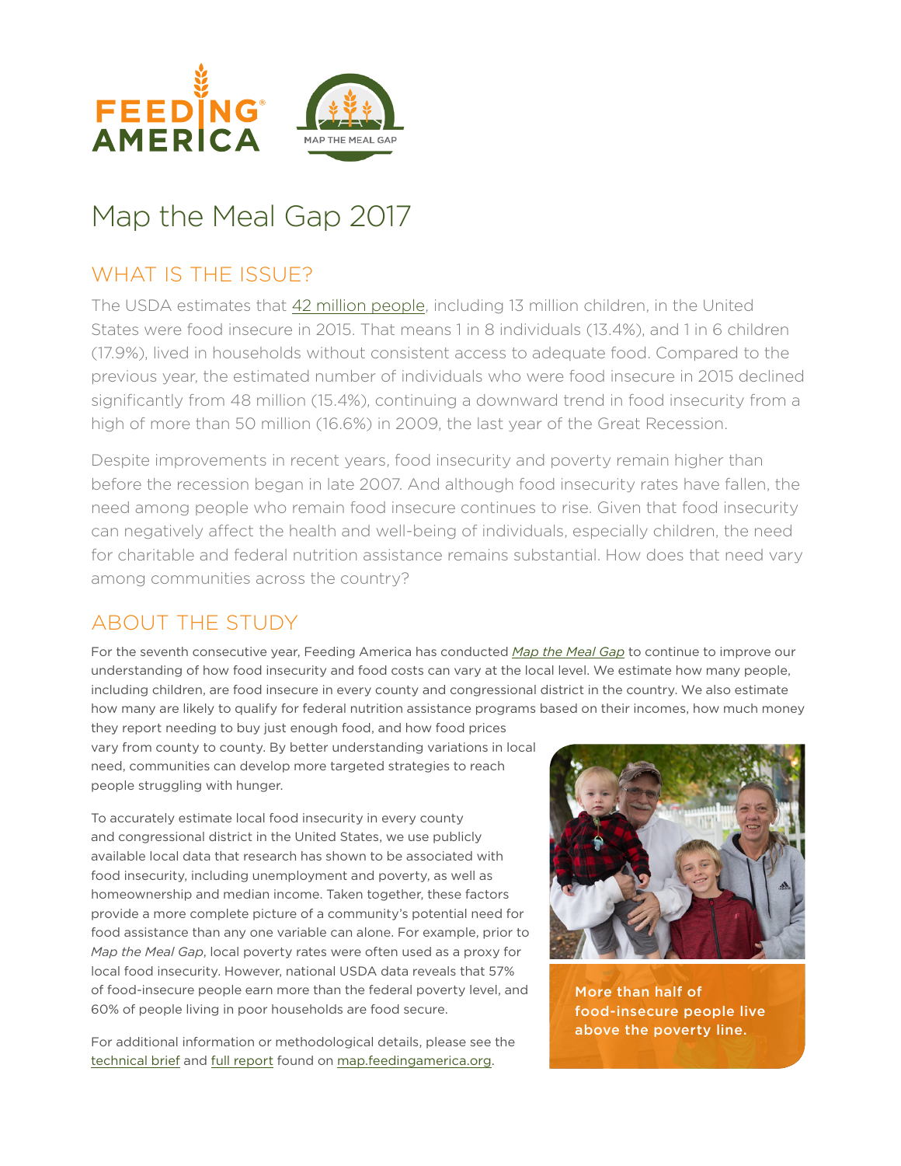

# Map the Meal Gap 2017

# WHAT IS THE ISSUE?

The USDA estimates that [42 million people](https://www.ers.usda.gov/webdocs/publications/err215/err-215.pdf), including 13 million children, in the United States were food insecure in 2015. That means 1 in 8 individuals (13.4%), and 1 in 6 children (17.9%), lived in households without consistent access to adequate food. Compared to the previous year, the estimated number of individuals who were food insecure in 2015 declined significantly from 48 million (15.4%), continuing a downward trend in food insecurity from a high of more than 50 million (16.6%) in 2009, the last year of the Great Recession.

Despite improvements in recent years, food insecurity and poverty remain higher than before the recession began in late 2007. And although food insecurity rates have fallen, the need among people who remain food insecure continues to rise. Given that food insecurity can negatively affect the health and well-being of individuals, especially children, the need for charitable and federal nutrition assistance remains substantial. How does that need vary among communities across the country?

## ABOUT THE STUDY

For the seventh consecutive year, Feeding America has conducted *[Map the Meal Gap](http://map.feedingamerica.org/)* to continue to improve our understanding of how food insecurity and food costs can vary at the local level. We estimate how many people, including children, are food insecure in every county and congressional district in the country. We also estimate how many are likely to qualify for federal nutrition assistance programs based on their incomes, how much money

they report needing to buy just enough food, and how food prices vary from county to county. By better understanding variations in local need, communities can develop more targeted strategies to reach people struggling with hunger.

To accurately estimate local food insecurity in every county and congressional district in the United States, we use publicly available local data that research has shown to be associated with food insecurity, including unemployment and poverty, as well as homeownership and median income. Taken together, these factors provide a more complete picture of a community's potential need for food assistance than any one variable can alone. For example, prior to *Map the Meal Gap*, local poverty rates were often used as a proxy for local food insecurity. However, national USDA data reveals that 57% of food-insecure people earn more than the federal poverty level, and 60% of people living in poor households are food secure.

For additional information or methodological details, please see the [technical brief](http://www.feedingamerica.org/hunger-in-america/our-research/map-the-meal-gap/how-we-got-the-map-data.html?_ga=1.136246839.723620028.1491920438?referrer=http://map.feedingamerica.org/) and [full report](http://www.feedingamerica.org/hunger-in-america/our-research/map-the-meal-gap/overall-executive-summary.html?_ga=1.136246839.723620028.1491920438) found on [map.feedingamerica.org](http://map.feedingamerica.org/).



More than half of food-insecure people live above the poverty line.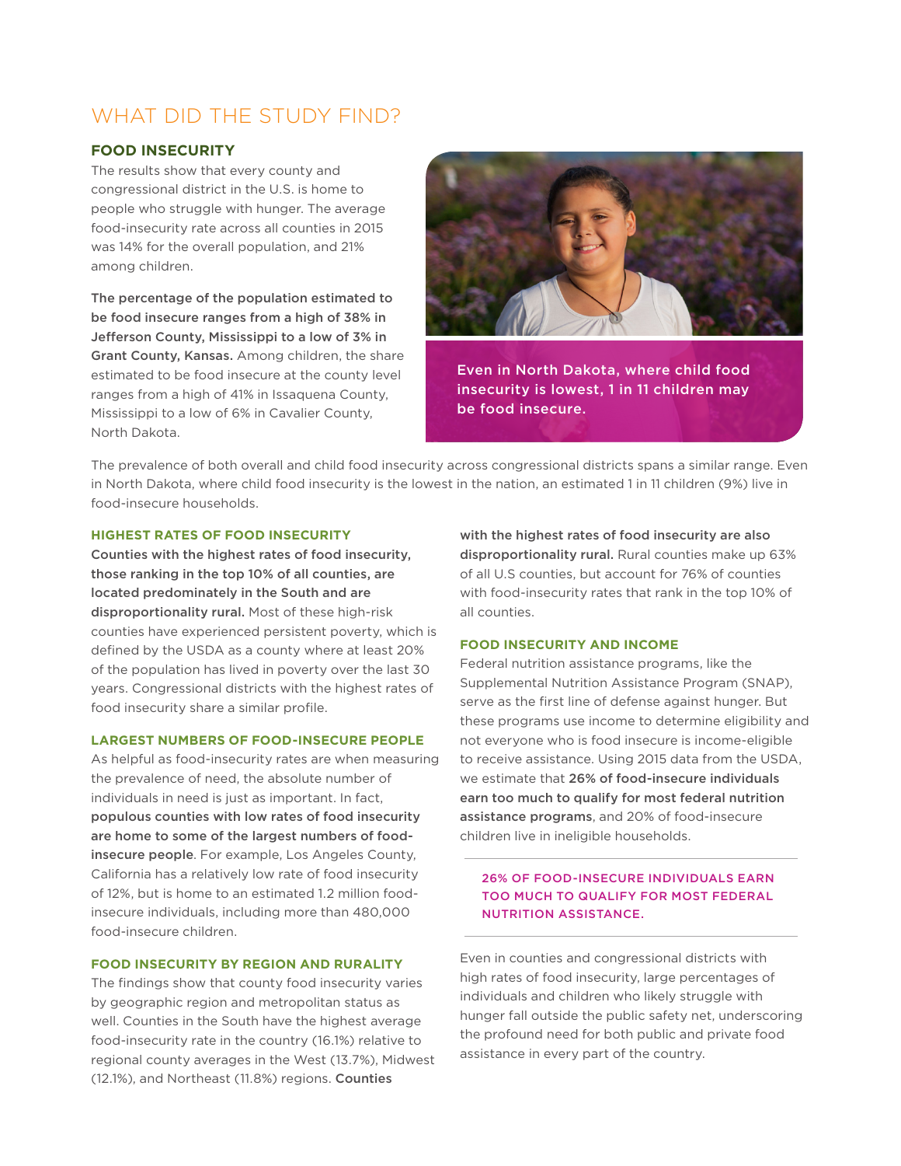### WHAT DID THE STUDY FIND?

#### **FOOD INSECURITY**

The results show that every county and congressional district in the U.S. is home to people who struggle with hunger. The average food-insecurity rate across all counties in 2015 was 14% for the overall population, and 21% among children.

The percentage of the population estimated to be food insecure ranges from a high of 38% in Jefferson County, Mississippi to a low of 3% in Grant County, Kansas. Among children, the share estimated to be food insecure at the county level ranges from a high of 41% in Issaquena County, Mississippi to a low of 6% in Cavalier County, North Dakota.



Even in North Dakota, where child food insecurity is lowest, 1 in 11 children may be food insecure.

The prevalence of both overall and child food insecurity across congressional districts spans a similar range. Even in North Dakota, where child food insecurity is the lowest in the nation, an estimated 1 in 11 children (9%) live in food-insecure households.

#### **HIGHEST RATES OF FOOD INSECURITY**

Counties with the highest rates of food insecurity, those ranking in the top 10% of all counties, are located predominately in the South and are disproportionality rural. Most of these high-risk counties have experienced persistent poverty, which is defined by the USDA as a county where at least 20% of the population has lived in poverty over the last 30 years. Congressional districts with the highest rates of food insecurity share a similar profile.

#### **LARGEST NUMBERS OF FOOD-INSECURE PEOPLE**

As helpful as food-insecurity rates are when measuring the prevalence of need, the absolute number of individuals in need is just as important. In fact, populous counties with low rates of food insecurity are home to some of the largest numbers of foodinsecure people. For example, Los Angeles County, California has a relatively low rate of food insecurity of 12%, but is home to an estimated 1.2 million foodinsecure individuals, including more than 480,000 food-insecure children.

#### **FOOD INSECURITY BY REGION AND RURALITY**

The findings show that county food insecurity varies by geographic region and metropolitan status as well. Counties in the South have the highest average food-insecurity rate in the country (16.1%) relative to regional county averages in the West (13.7%), Midwest (12.1%), and Northeast (11.8%) regions. Counties

with the highest rates of food insecurity are also disproportionality rural. Rural counties make up 63% of all U.S counties, but account for 76% of counties with food-insecurity rates that rank in the top 10% of all counties.

#### **FOOD INSECURITY AND INCOME**

Federal nutrition assistance programs, like the Supplemental Nutrition Assistance Program (SNAP), serve as the first line of defense against hunger. But these programs use income to determine eligibility and not everyone who is food insecure is income-eligible to receive assistance. Using 2015 data from the USDA, we estimate that 26% of food-insecure individuals earn too much to qualify for most federal nutrition assistance programs, and 20% of food-insecure children live in ineligible households.

#### 26% OF FOOD-INSECURE INDIVIDUALS EARN TOO MUCH TO QUALIFY FOR MOST FEDERAL NUTRITION ASSISTANCE.

Even in counties and congressional districts with high rates of food insecurity, large percentages of individuals and children who likely struggle with hunger fall outside the public safety net, underscoring the profound need for both public and private food assistance in every part of the country.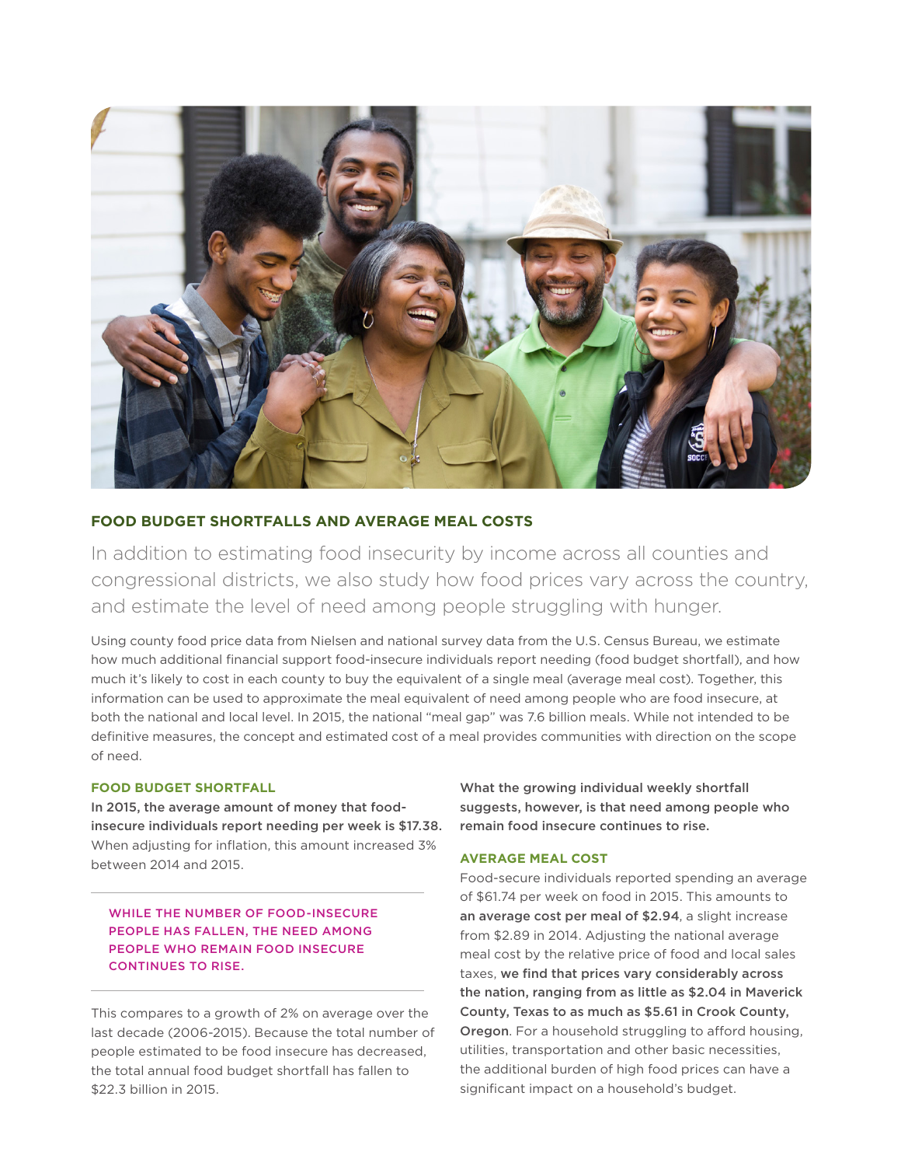

#### **FOOD BUDGET SHORTFALLS AND AVERAGE MEAL COSTS**

In addition to estimating food insecurity by income across all counties and congressional districts, we also study how food prices vary across the country, and estimate the level of need among people struggling with hunger.

Using county food price data from Nielsen and national survey data from the U.S. Census Bureau, we estimate how much additional financial support food-insecure individuals report needing (food budget shortfall), and how much it's likely to cost in each county to buy the equivalent of a single meal (average meal cost). Together, this information can be used to approximate the meal equivalent of need among people who are food insecure, at both the national and local level. In 2015, the national "meal gap" was 7.6 billion meals. While not intended to be definitive measures, the concept and estimated cost of a meal provides communities with direction on the scope of need.

#### **FOOD BUDGET SHORTFALL**

In 2015, the average amount of money that foodinsecure individuals report needing per week is \$17.38. When adjusting for inflation, this amount increased 3% between 2014 and 2015.

WHILE THE NUMBER OF FOOD-INSECURE PEOPLE HAS FALLEN, THE NEED AMONG PEOPLE WHO REMAIN FOOD INSECURE CONTINUES TO RISE.

This compares to a growth of 2% on average over the last decade (2006-2015). Because the total number of people estimated to be food insecure has decreased, the total annual food budget shortfall has fallen to \$22.3 billion in 2015.

What the growing individual weekly shortfall suggests, however, is that need among people who remain food insecure continues to rise.

#### **AVERAGE MEAL COST**

Food-secure individuals reported spending an average of \$61.74 per week on food in 2015. This amounts to an average cost per meal of \$2.94, a slight increase from \$2.89 in 2014. Adjusting the national average meal cost by the relative price of food and local sales taxes, we find that prices vary considerably across the nation, ranging from as little as \$2.04 in Maverick County, Texas to as much as \$5.61 in Crook County, Oregon. For a household struggling to afford housing, utilities, transportation and other basic necessities, the additional burden of high food prices can have a significant impact on a household's budget.